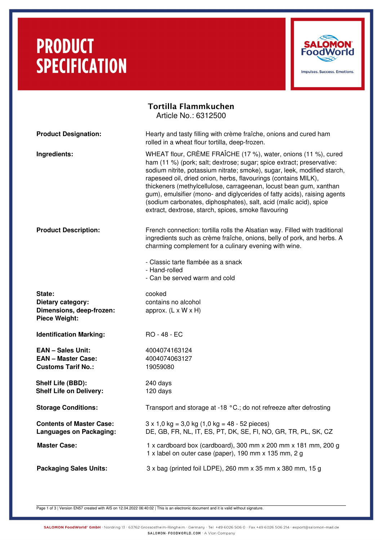## **PRODUCT SPECIFICATION**



### Tortilla Flammkuchen Article No.: 6312500 **Product Designation:** Hearty and tasty filling with crème fraîche, onions and cured ham rolled in a wheat flour tortilla, deep-frozen. **Ingredients:** WHEAT flour, CRÈME FRAÎCHE (17 %), water, onions (11 %), cured ham (11 %) (pork; salt; dextrose; sugar; spice extract; preservative: sodium nitrite, potassium nitrate; smoke), sugar, leek, modified starch, rapeseed oil, dried onion, herbs, flavourings (contains MILK), thickeners (methylcellulose, carrageenan, locust bean gum, xanthan gum), emulsifier (mono- and diglycerides of fatty acids), raising agents (sodium carbonates, diphosphates), salt, acid (malic acid), spice extract, dextrose, starch, spices, smoke flavouring **Product Description:** French connection: tortilla rolls the Alsatian way. Filled with traditional ingredients such as crème fraîche, onions, belly of pork, and herbs. A charming complement for a culinary evening with wine. Classic tarte flambée as a snack - Hand-rolled Can be served warm and cold State: Cooked **Dietary category:** contains no alcohol **Dimensions, deep-frozen:** approx. (L x W x H) **Piece Weight: Identification Marking:** RO - 48 - EC **EAN – Sales Unit:** 4004074163124 **EAN – Master Case:** 4004074063127 **Customs Tarif No.:** 19059080 **Shelf Life (BBD):** 240 days **Shelf Life on Delivery:** 120 days **Storage Conditions:** Transport and storage at -18 °C.; do not refreeze after defrosting **Contents of Master Case:**  $3 \times 1,0$  kg =  $3,0$  kg  $(1,0$  kg =  $48 - 52$  pieces) **Languages on Packaging:** DE, GB, FR, NL, IT, ES, PT, DK, SE, FI, NO, GR, TR, PL, SK, CZ **Master Case:** 1 x cardboard box (cardboard), 300 mm x 200 mm x 181 mm, 200 g 1 x label on outer case (paper), 190 mm x 135 mm, 2 g **Packaging Sales Units:** 3 x bag (printed foil LDPE), 260 mm x 35 mm x 380 mm, 15 g

Page 1 of 3 | Version EN57 created with AIS on 12.04.2022 06:40:02 | This is an electronic document and it is valid without signature.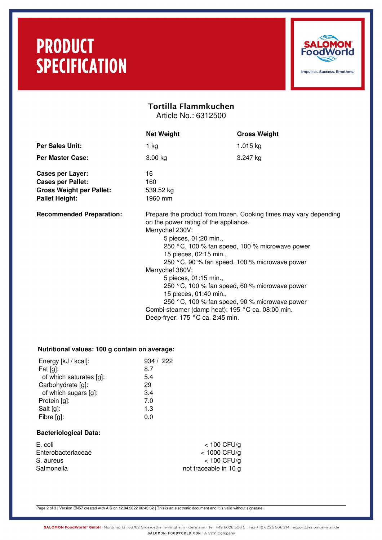## **PRODUCT SPECIFICATION**



### Tortilla Flammkuchen Article No.: 6312500

**Net Weight Gross Weight Per Sales Unit:** 1 kg 1.015 kg **Per Master Case:** 3.00 kg 3.00 kg 3.247 kg Cases per Layer: 16 Cases per Pallet: 160 **Gross Weight per Pallet:** 539.52 kg Pallet Height: 1960 mm **Recommended Preparation:** Prepare the product from frozen. Cooking times may vary depending on the power rating of the appliance. Merrychef 230V: 5 pieces, 01:20 min., 250 °C, 100 % fan speed, 100 % microwave power 15 pieces, 02:15 min., 250 °C, 90 % fan speed, 100 % microwave power Merrychef 380V: 5 pieces, 01:15 min., 250 °C, 100 % fan speed, 60 % microwave power 15 pieces, 01:40 min., 250 °C, 100 % fan speed, 90 % microwave power Combi-steamer (damp heat): 195 °C ca. 08:00 min. Deep-fryer: 175 °C ca. 2:45 min.

#### **Nutritional values: 100 g contain on average:**

| Energy [kJ / kcal]:     | 934 / 222 |
|-------------------------|-----------|
| Fat $[g]$ :             | 8.7       |
| of which saturates [g]: | 5.4       |
| Carbohydrate [g]:       | 29        |
| of which sugars [g]:    | 3.4       |
| Protein [g]:            | 7.0       |
| Salt [g]:               | 1.3       |
| Fibre [g]:              | 0.0       |
|                         |           |

#### **Bacteriological Data:**

| E. coli            |
|--------------------|
| Enterobacteriaceae |
| S. aureus          |
| Salmonella         |

 $<$  100 CFU/g  $<$  1000 CFU/g  $<$  100 CFU/g not traceable in 10 g

Page 2 of 3 | Version EN57 created with AIS on 12.04.2022 06:40:02 | This is an electronic document and it is valid without signature.